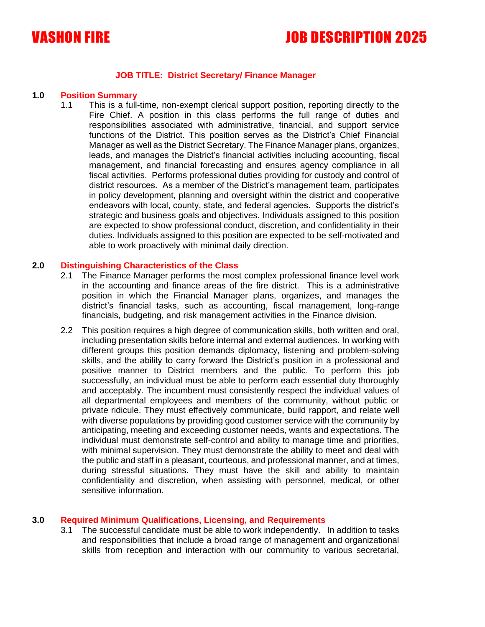

# VASHON FIRE JOB DESCRIPTION 2025

### **JOB TITLE: District Secretary/ Finance Manager**

#### **1.0 Position Summary**

1.1 This is a full-time, non-exempt clerical support position, reporting directly to the Fire Chief. A position in this class performs the full range of duties and responsibilities associated with administrative, financial, and support service functions of the District. This position serves as the District's Chief Financial Manager as well as the District Secretary. The Finance Manager plans, organizes, leads, and manages the District's financial activities including accounting, fiscal management, and financial forecasting and ensures agency compliance in all fiscal activities. Performs professional duties providing for custody and control of district resources. As a member of the District's management team, participates in policy development, planning and oversight within the district and cooperative endeavors with local, county, state, and federal agencies. Supports the district's strategic and business goals and objectives. Individuals assigned to this position are expected to show professional conduct, discretion, and confidentiality in their duties. Individuals assigned to this position are expected to be self-motivated and able to work proactively with minimal daily direction.

#### **2.0 Distinguishing Characteristics of the Class**

- 2.1 The Finance Manager performs the most complex professional finance level work in the accounting and finance areas of the fire district. This is a administrative position in which the Financial Manager plans, organizes, and manages the district's financial tasks, such as accounting, fiscal management, long-range financials, budgeting, and risk management activities in the Finance division.
- 2.2 This position requires a high degree of communication skills, both written and oral, including presentation skills before internal and external audiences. In working with different groups this position demands diplomacy, listening and problem-solving skills, and the ability to carry forward the District's position in a professional and positive manner to District members and the public. To perform this job successfully, an individual must be able to perform each essential duty thoroughly and acceptably. The incumbent must consistently respect the individual values of all departmental employees and members of the community, without public or private ridicule. They must effectively communicate, build rapport, and relate well with diverse populations by providing good customer service with the community by anticipating, meeting and exceeding customer needs, wants and expectations. The individual must demonstrate self-control and ability to manage time and priorities, with minimal supervision. They must demonstrate the ability to meet and deal with the public and staff in a pleasant, courteous, and professional manner, and at times, during stressful situations. They must have the skill and ability to maintain confidentiality and discretion, when assisting with personnel, medical, or other sensitive information.

#### **3.0 Required Minimum Qualifications, Licensing, and Requirements**

3.1 The successful candidate must be able to work independently. In addition to tasks and responsibilities that include a broad range of management and organizational skills from reception and interaction with our community to various secretarial,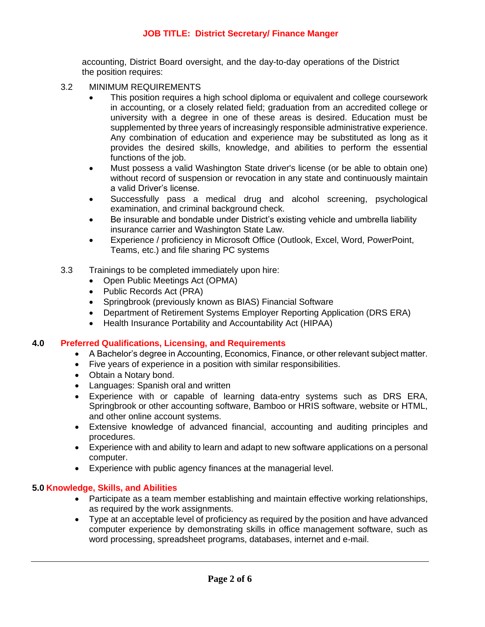# **JOB TITLE: District Secretary/ Finance Manger**

accounting, District Board oversight, and the day-to-day operations of the District the position requires:

- 3.2 MINIMUM REQUIREMENTS
	- This position requires a high school diploma or equivalent and college coursework in accounting, or a closely related field; graduation from an accredited college or university with a degree in one of these areas is desired. Education must be supplemented by three years of increasingly responsible administrative experience. Any combination of education and experience may be substituted as long as it provides the desired skills, knowledge, and abilities to perform the essential functions of the job.
	- Must possess a valid Washington State driver's license (or be able to obtain one) without record of suspension or revocation in any state and continuously maintain a valid Driver's license.
	- Successfully pass a medical drug and alcohol screening, psychological examination, and criminal background check.
	- Be insurable and bondable under District's existing vehicle and umbrella liability insurance carrier and Washington State Law.
	- Experience / proficiency in Microsoft Office (Outlook, Excel, Word, PowerPoint, Teams, etc.) and file sharing PC systems
- 3.3 Trainings to be completed immediately upon hire:
	- Open Public Meetings Act (OPMA)
	- Public Records Act (PRA)
	- Springbrook (previously known as BIAS) Financial Software
	- Department of Retirement Systems Employer Reporting Application (DRS ERA)
	- Health Insurance Portability and Accountability Act (HIPAA)

#### **4.0 Preferred Qualifications, Licensing, and Requirements**

- A Bachelor's degree in Accounting, Economics, Finance, or other relevant subject matter.
- Five years of experience in a position with similar responsibilities.
- Obtain a Notary bond.
- Languages: Spanish oral and written
- Experience with or capable of learning data-entry systems such as DRS ERA, Springbrook or other accounting software, Bamboo or HRIS software, website or HTML, and other online account systems.
- Extensive knowledge of advanced financial, accounting and auditing principles and procedures.
- Experience with and ability to learn and adapt to new software applications on a personal computer.
- Experience with public agency finances at the managerial level.

## **5.0 Knowledge, Skills, and Abilities**

- Participate as a team member establishing and maintain effective working relationships, as required by the work assignments.
- Type at an acceptable level of proficiency as required by the position and have advanced computer experience by demonstrating skills in office management software, such as word processing, spreadsheet programs, databases, internet and e-mail.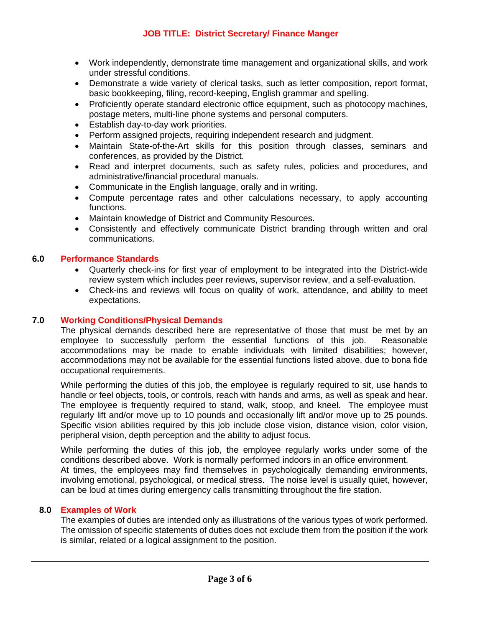- Work independently, demonstrate time management and organizational skills, and work under stressful conditions.
- Demonstrate a wide variety of clerical tasks, such as letter composition, report format, basic bookkeeping, filing, record-keeping, English grammar and spelling.
- Proficiently operate standard electronic office equipment, such as photocopy machines, postage meters, multi-line phone systems and personal computers.
- Establish day-to-day work priorities.
- Perform assigned projects, requiring independent research and judgment.
- Maintain State-of-the-Art skills for this position through classes, seminars and conferences, as provided by the District.
- Read and interpret documents, such as safety rules, policies and procedures, and administrative/financial procedural manuals.
- Communicate in the English language, orally and in writing.
- Compute percentage rates and other calculations necessary, to apply accounting functions.
- Maintain knowledge of District and Community Resources.
- Consistently and effectively communicate District branding through written and oral communications.

# **6.0 Performance Standards**

- Quarterly check-ins for first year of employment to be integrated into the District-wide review system which includes peer reviews, supervisor review, and a self-evaluation.
- Check-ins and reviews will focus on quality of work, attendance, and ability to meet expectations.

# **7.0 Working Conditions/Physical Demands**

The physical demands described here are representative of those that must be met by an employee to successfully perform the essential functions of this job. Reasonable accommodations may be made to enable individuals with limited disabilities; however, accommodations may not be available for the essential functions listed above, due to bona fide occupational requirements.

While performing the duties of this job, the employee is regularly required to sit, use hands to handle or feel objects, tools, or controls, reach with hands and arms, as well as speak and hear. The employee is frequently required to stand, walk, stoop, and kneel. The employee must regularly lift and/or move up to 10 pounds and occasionally lift and/or move up to 25 pounds. Specific vision abilities required by this job include close vision, distance vision, color vision, peripheral vision, depth perception and the ability to adjust focus.

While performing the duties of this job, the employee regularly works under some of the conditions described above. Work is normally performed indoors in an office environment. At times, the employees may find themselves in psychologically demanding environments, involving emotional, psychological, or medical stress. The noise level is usually quiet, however, can be loud at times during emergency calls transmitting throughout the fire station.

# **8.0 Examples of Work**

The examples of duties are intended only as illustrations of the various types of work performed. The omission of specific statements of duties does not exclude them from the position if the work is similar, related or a logical assignment to the position.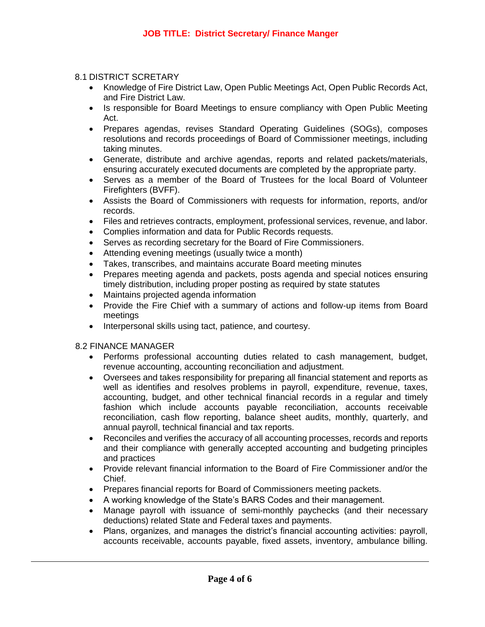## 8.1 DISTRICT SCRETARY

- Knowledge of Fire District Law, Open Public Meetings Act, Open Public Records Act, and Fire District Law.
- Is responsible for Board Meetings to ensure compliancy with Open Public Meeting Act.
- Prepares agendas, revises Standard Operating Guidelines (SOGs), composes resolutions and records proceedings of Board of Commissioner meetings, including taking minutes.
- Generate, distribute and archive agendas, reports and related packets/materials, ensuring accurately executed documents are completed by the appropriate party.
- Serves as a member of the Board of Trustees for the local Board of Volunteer Firefighters (BVFF).
- Assists the Board of Commissioners with requests for information, reports, and/or records.
- Files and retrieves contracts, employment, professional services, revenue, and labor.
- Complies information and data for Public Records requests.
- Serves as recording secretary for the Board of Fire Commissioners.
- Attending evening meetings (usually twice a month)
- Takes, transcribes, and maintains accurate Board meeting minutes
- Prepares meeting agenda and packets, posts agenda and special notices ensuring timely distribution, including proper posting as required by state statutes
- Maintains projected agenda information
- Provide the Fire Chief with a summary of actions and follow-up items from Board meetings
- Interpersonal skills using tact, patience, and courtesy.

# 8.2 FINANCE MANAGER

- Performs professional accounting duties related to cash management, budget, revenue accounting, accounting reconciliation and adjustment.
- Oversees and takes responsibility for preparing all financial statement and reports as well as identifies and resolves problems in payroll, expenditure, revenue, taxes, accounting, budget, and other technical financial records in a regular and timely fashion which include accounts payable reconciliation, accounts receivable reconciliation, cash flow reporting, balance sheet audits, monthly, quarterly, and annual payroll, technical financial and tax reports.
- Reconciles and verifies the accuracy of all accounting processes, records and reports and their compliance with generally accepted accounting and budgeting principles and practices
- Provide relevant financial information to the Board of Fire Commissioner and/or the Chief.
- Prepares financial reports for Board of Commissioners meeting packets.
- A working knowledge of the State's BARS Codes and their management.
- Manage payroll with issuance of semi-monthly paychecks (and their necessary deductions) related State and Federal taxes and payments.
- Plans, organizes, and manages the district's financial accounting activities: payroll, accounts receivable, accounts payable, fixed assets, inventory, ambulance billing.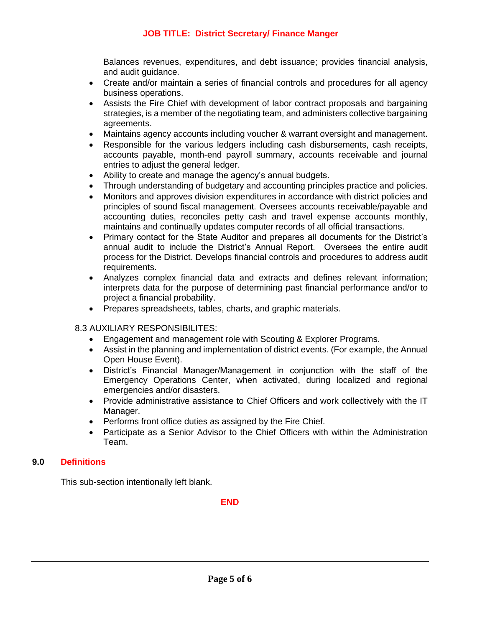# **JOB TITLE: District Secretary/ Finance Manger**

Balances revenues, expenditures, and debt issuance; provides financial analysis, and audit guidance.

- Create and/or maintain a series of financial controls and procedures for all agency business operations.
- Assists the Fire Chief with development of labor contract proposals and bargaining strategies, is a member of the negotiating team, and administers collective bargaining agreements.
- Maintains agency accounts including voucher & warrant oversight and management.
- Responsible for the various ledgers including cash disbursements, cash receipts, accounts payable, month-end payroll summary, accounts receivable and journal entries to adjust the general ledger.
- Ability to create and manage the agency's annual budgets.
- Through understanding of budgetary and accounting principles practice and policies.
- Monitors and approves division expenditures in accordance with district policies and principles of sound fiscal management. Oversees accounts receivable/payable and accounting duties, reconciles petty cash and travel expense accounts monthly, maintains and continually updates computer records of all official transactions.
- Primary contact for the State Auditor and prepares all documents for the District's annual audit to include the District's Annual Report. Oversees the entire audit process for the District. Develops financial controls and procedures to address audit requirements.
- Analyzes complex financial data and extracts and defines relevant information; interprets data for the purpose of determining past financial performance and/or to project a financial probability.
- Prepares spreadsheets, tables, charts, and graphic materials.

## 8.3 AUXILIARY RESPONSIBILITES:

- Engagement and management role with Scouting & Explorer Programs.
- Assist in the planning and implementation of district events. (For example, the Annual Open House Event).
- District's Financial Manager/Management in conjunction with the staff of the Emergency Operations Center, when activated, during localized and regional emergencies and/or disasters.
- Provide administrative assistance to Chief Officers and work collectively with the IT Manager.
- Performs front office duties as assigned by the Fire Chief.
- Participate as a Senior Advisor to the Chief Officers with within the Administration Team.

## **9.0 Definitions**

This sub-section intentionally left blank.

#### **END**